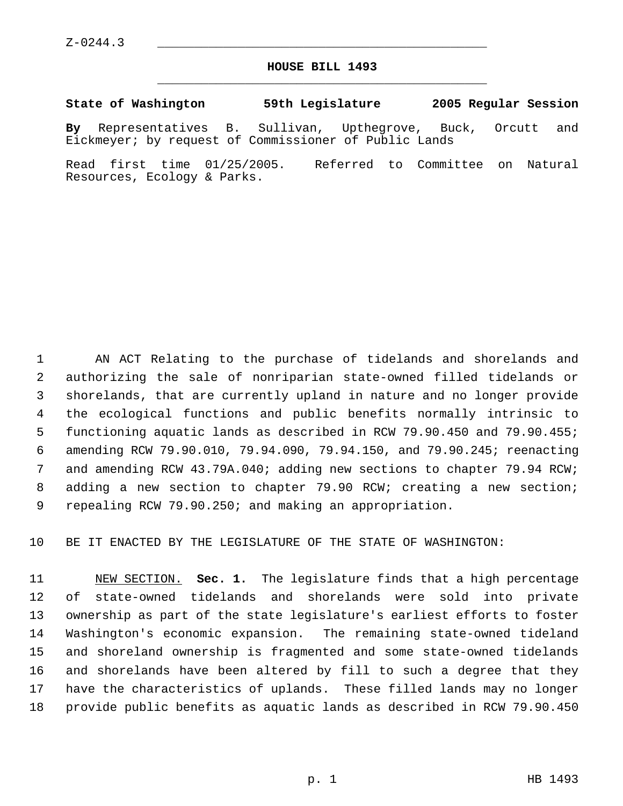Z-0244.3 \_\_\_\_\_\_\_\_\_\_\_\_\_\_\_\_\_\_\_\_\_\_\_\_\_\_\_\_\_\_\_\_\_\_\_\_\_\_\_\_\_\_\_\_\_

## **HOUSE BILL 1493** \_\_\_\_\_\_\_\_\_\_\_\_\_\_\_\_\_\_\_\_\_\_\_\_\_\_\_\_\_\_\_\_\_\_\_\_\_\_\_\_\_\_\_\_\_

## **State of Washington 59th Legislature 2005 Regular Session**

**By** Representatives B. Sullivan, Upthegrove, Buck, Orcutt and Eickmeyer; by request of Commissioner of Public Lands

Read first time 01/25/2005. Referred to Committee on Natural Resources, Ecology & Parks.

 AN ACT Relating to the purchase of tidelands and shorelands and authorizing the sale of nonriparian state-owned filled tidelands or shorelands, that are currently upland in nature and no longer provide the ecological functions and public benefits normally intrinsic to functioning aquatic lands as described in RCW 79.90.450 and 79.90.455; amending RCW 79.90.010, 79.94.090, 79.94.150, and 79.90.245; reenacting and amending RCW 43.79A.040; adding new sections to chapter 79.94 RCW; adding a new section to chapter 79.90 RCW; creating a new section; repealing RCW 79.90.250; and making an appropriation.

BE IT ENACTED BY THE LEGISLATURE OF THE STATE OF WASHINGTON:

 NEW SECTION. **Sec. 1.** The legislature finds that a high percentage of state-owned tidelands and shorelands were sold into private ownership as part of the state legislature's earliest efforts to foster Washington's economic expansion. The remaining state-owned tideland and shoreland ownership is fragmented and some state-owned tidelands and shorelands have been altered by fill to such a degree that they have the characteristics of uplands. These filled lands may no longer provide public benefits as aquatic lands as described in RCW 79.90.450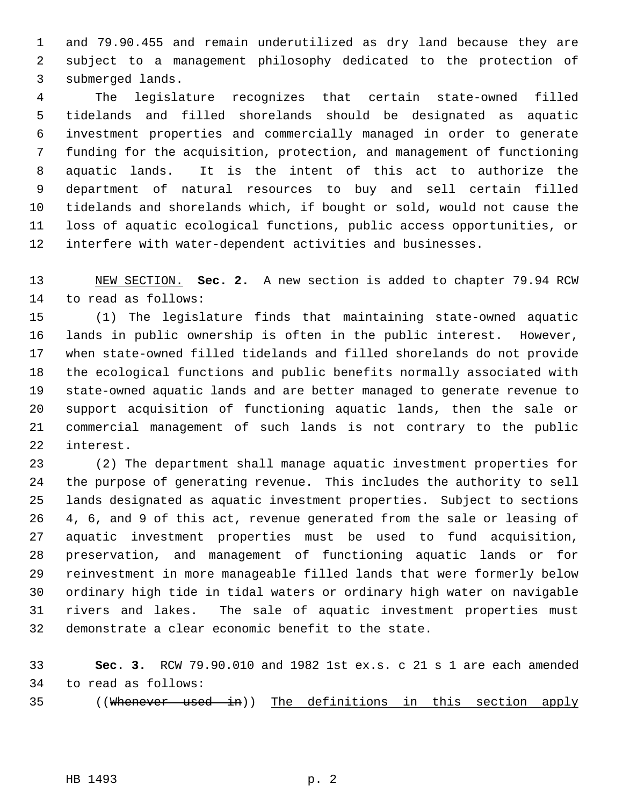and 79.90.455 and remain underutilized as dry land because they are subject to a management philosophy dedicated to the protection of submerged lands.

 The legislature recognizes that certain state-owned filled tidelands and filled shorelands should be designated as aquatic investment properties and commercially managed in order to generate funding for the acquisition, protection, and management of functioning aquatic lands. It is the intent of this act to authorize the department of natural resources to buy and sell certain filled tidelands and shorelands which, if bought or sold, would not cause the loss of aquatic ecological functions, public access opportunities, or interfere with water-dependent activities and businesses.

 NEW SECTION. **Sec. 2.** A new section is added to chapter 79.94 RCW to read as follows:

 (1) The legislature finds that maintaining state-owned aquatic lands in public ownership is often in the public interest. However, when state-owned filled tidelands and filled shorelands do not provide the ecological functions and public benefits normally associated with state-owned aquatic lands and are better managed to generate revenue to support acquisition of functioning aquatic lands, then the sale or commercial management of such lands is not contrary to the public interest.

 (2) The department shall manage aquatic investment properties for the purpose of generating revenue. This includes the authority to sell lands designated as aquatic investment properties. Subject to sections 4, 6, and 9 of this act, revenue generated from the sale or leasing of aquatic investment properties must be used to fund acquisition, preservation, and management of functioning aquatic lands or for reinvestment in more manageable filled lands that were formerly below ordinary high tide in tidal waters or ordinary high water on navigable rivers and lakes. The sale of aquatic investment properties must demonstrate a clear economic benefit to the state.

 **Sec. 3.** RCW 79.90.010 and 1982 1st ex.s. c 21 s 1 are each amended to read as follows:

((Whenever used in)) The definitions in this section apply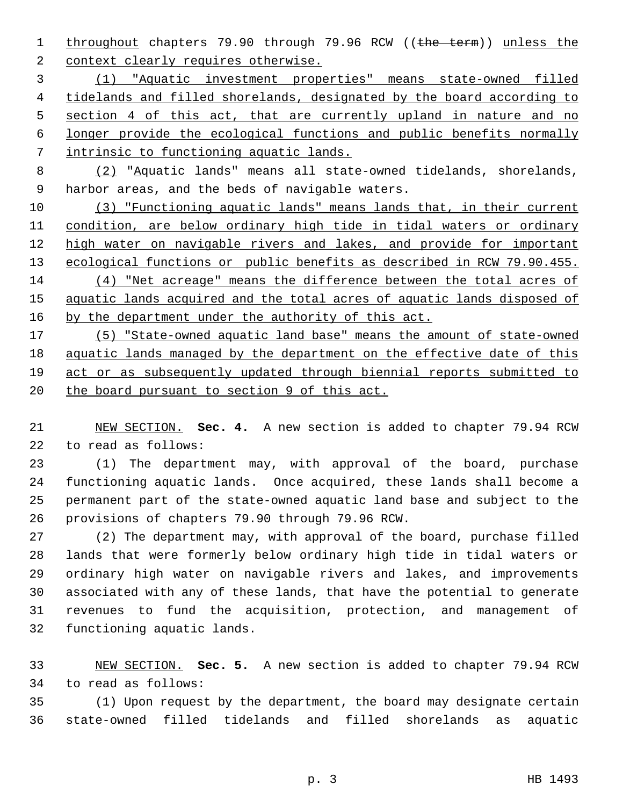1 throughout chapters 79.90 through 79.96 RCW ((the term)) unless the 2 context clearly requires otherwise.

 (1) "Aquatic investment properties" means state-owned filled 4 tidelands and filled shorelands, designated by the board according to 5 section 4 of this act, that are currently upland in nature and no longer provide the ecological functions and public benefits normally intrinsic to functioning aquatic lands.

 (2) "Aquatic lands" means all state-owned tidelands, shorelands, harbor areas, and the beds of navigable waters.

 (3) "Functioning aquatic lands" means lands that, in their current condition, are below ordinary high tide in tidal waters or ordinary 12 high water on navigable rivers and lakes, and provide for important 13 ecological functions or public benefits as described in RCW 79.90.455. (4) "Net acreage" means the difference between the total acres of aquatic lands acquired and the total acres of aquatic lands disposed of 16 by the department under the authority of this act.

 (5) "State-owned aquatic land base" means the amount of state-owned aquatic lands managed by the department on the effective date of this act or as subsequently updated through biennial reports submitted to 20 the board pursuant to section 9 of this act.

 NEW SECTION. **Sec. 4.** A new section is added to chapter 79.94 RCW to read as follows:

 (1) The department may, with approval of the board, purchase functioning aquatic lands. Once acquired, these lands shall become a permanent part of the state-owned aquatic land base and subject to the provisions of chapters 79.90 through 79.96 RCW.

 (2) The department may, with approval of the board, purchase filled lands that were formerly below ordinary high tide in tidal waters or ordinary high water on navigable rivers and lakes, and improvements associated with any of these lands, that have the potential to generate revenues to fund the acquisition, protection, and management of functioning aquatic lands.

 NEW SECTION. **Sec. 5.** A new section is added to chapter 79.94 RCW to read as follows:

 (1) Upon request by the department, the board may designate certain state-owned filled tidelands and filled shorelands as aquatic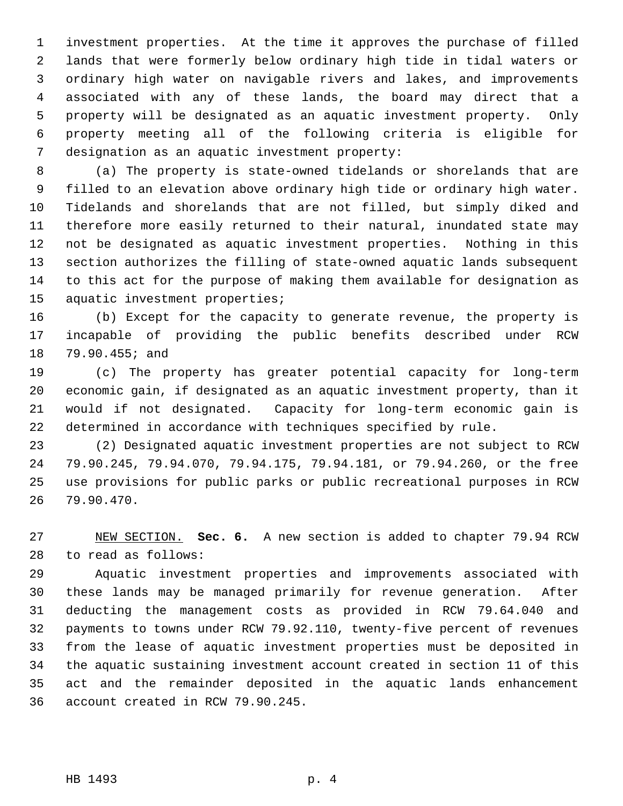investment properties. At the time it approves the purchase of filled lands that were formerly below ordinary high tide in tidal waters or ordinary high water on navigable rivers and lakes, and improvements associated with any of these lands, the board may direct that a property will be designated as an aquatic investment property. Only property meeting all of the following criteria is eligible for designation as an aquatic investment property:

 (a) The property is state-owned tidelands or shorelands that are filled to an elevation above ordinary high tide or ordinary high water. Tidelands and shorelands that are not filled, but simply diked and therefore more easily returned to their natural, inundated state may not be designated as aquatic investment properties. Nothing in this section authorizes the filling of state-owned aquatic lands subsequent to this act for the purpose of making them available for designation as aquatic investment properties;

 (b) Except for the capacity to generate revenue, the property is incapable of providing the public benefits described under RCW 79.90.455; and

 (c) The property has greater potential capacity for long-term economic gain, if designated as an aquatic investment property, than it would if not designated. Capacity for long-term economic gain is determined in accordance with techniques specified by rule.

 (2) Designated aquatic investment properties are not subject to RCW 79.90.245, 79.94.070, 79.94.175, 79.94.181, or 79.94.260, or the free use provisions for public parks or public recreational purposes in RCW 79.90.470.

 NEW SECTION. **Sec. 6.** A new section is added to chapter 79.94 RCW to read as follows:

 Aquatic investment properties and improvements associated with these lands may be managed primarily for revenue generation. After deducting the management costs as provided in RCW 79.64.040 and payments to towns under RCW 79.92.110, twenty-five percent of revenues from the lease of aquatic investment properties must be deposited in the aquatic sustaining investment account created in section 11 of this act and the remainder deposited in the aquatic lands enhancement account created in RCW 79.90.245.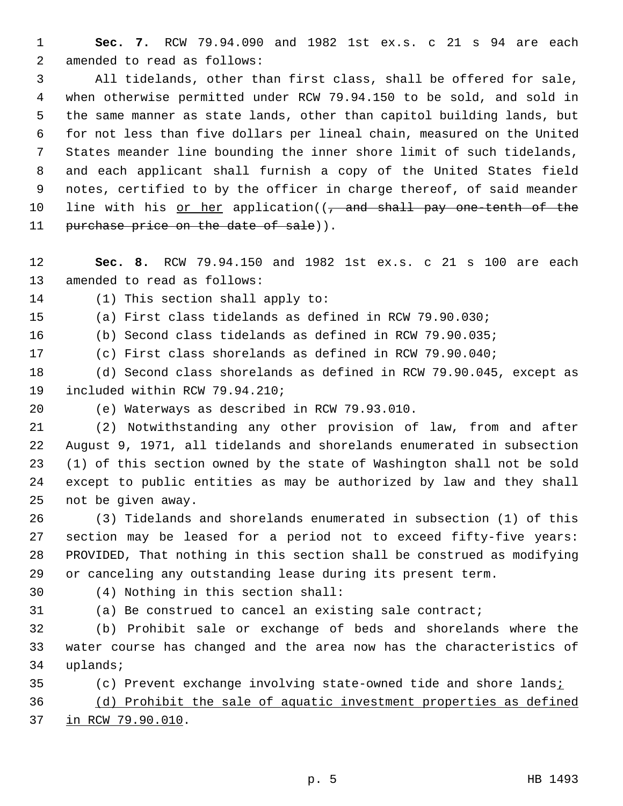**Sec. 7.** RCW 79.94.090 and 1982 1st ex.s. c 21 s 94 are each amended to read as follows:

 All tidelands, other than first class, shall be offered for sale, when otherwise permitted under RCW 79.94.150 to be sold, and sold in the same manner as state lands, other than capitol building lands, but for not less than five dollars per lineal chain, measured on the United States meander line bounding the inner shore limit of such tidelands, and each applicant shall furnish a copy of the United States field notes, certified to by the officer in charge thereof, of said meander 10 line with his or her application((, and shall pay one tenth of the 11 purchase price on the date of sale)).

 **Sec. 8.** RCW 79.94.150 and 1982 1st ex.s. c 21 s 100 are each amended to read as follows:

(1) This section shall apply to:

(a) First class tidelands as defined in RCW 79.90.030;

(b) Second class tidelands as defined in RCW 79.90.035;

(c) First class shorelands as defined in RCW 79.90.040;

 (d) Second class shorelands as defined in RCW 79.90.045, except as included within RCW 79.94.210;

(e) Waterways as described in RCW 79.93.010.

 (2) Notwithstanding any other provision of law, from and after August 9, 1971, all tidelands and shorelands enumerated in subsection (1) of this section owned by the state of Washington shall not be sold except to public entities as may be authorized by law and they shall not be given away.

 (3) Tidelands and shorelands enumerated in subsection (1) of this section may be leased for a period not to exceed fifty-five years: PROVIDED, That nothing in this section shall be construed as modifying or canceling any outstanding lease during its present term.

(4) Nothing in this section shall:

(a) Be construed to cancel an existing sale contract;

 (b) Prohibit sale or exchange of beds and shorelands where the water course has changed and the area now has the characteristics of uplands;

(c) Prevent exchange involving state-owned tide and shore lands;

 (d) Prohibit the sale of aquatic investment properties as defined in RCW 79.90.010.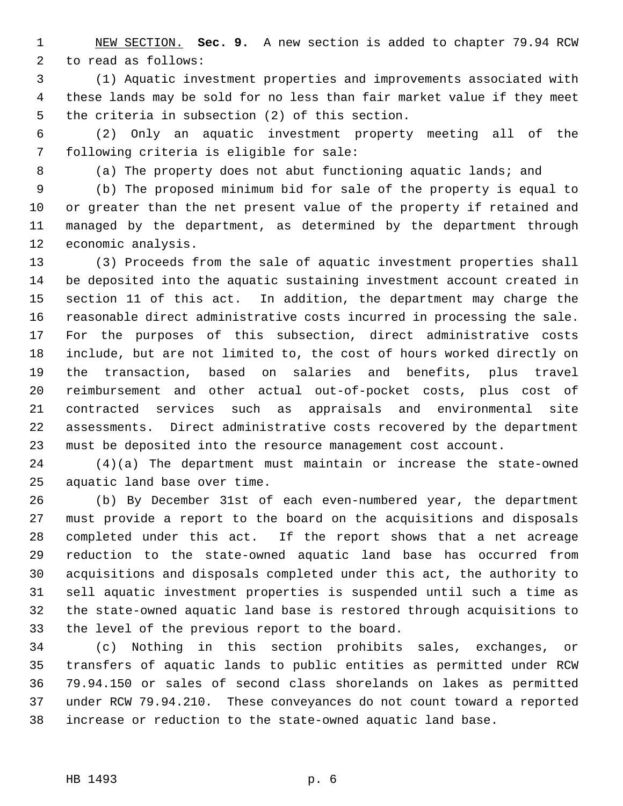NEW SECTION. **Sec. 9.** A new section is added to chapter 79.94 RCW to read as follows:

 (1) Aquatic investment properties and improvements associated with these lands may be sold for no less than fair market value if they meet the criteria in subsection (2) of this section.

 (2) Only an aquatic investment property meeting all of the following criteria is eligible for sale:

(a) The property does not abut functioning aquatic lands; and

 (b) The proposed minimum bid for sale of the property is equal to or greater than the net present value of the property if retained and managed by the department, as determined by the department through economic analysis.

 (3) Proceeds from the sale of aquatic investment properties shall be deposited into the aquatic sustaining investment account created in section 11 of this act. In addition, the department may charge the reasonable direct administrative costs incurred in processing the sale. For the purposes of this subsection, direct administrative costs include, but are not limited to, the cost of hours worked directly on the transaction, based on salaries and benefits, plus travel reimbursement and other actual out-of-pocket costs, plus cost of contracted services such as appraisals and environmental site assessments. Direct administrative costs recovered by the department must be deposited into the resource management cost account.

 (4)(a) The department must maintain or increase the state-owned aquatic land base over time.

 (b) By December 31st of each even-numbered year, the department must provide a report to the board on the acquisitions and disposals completed under this act. If the report shows that a net acreage reduction to the state-owned aquatic land base has occurred from acquisitions and disposals completed under this act, the authority to sell aquatic investment properties is suspended until such a time as the state-owned aquatic land base is restored through acquisitions to the level of the previous report to the board.

 (c) Nothing in this section prohibits sales, exchanges, or transfers of aquatic lands to public entities as permitted under RCW 79.94.150 or sales of second class shorelands on lakes as permitted under RCW 79.94.210. These conveyances do not count toward a reported increase or reduction to the state-owned aquatic land base.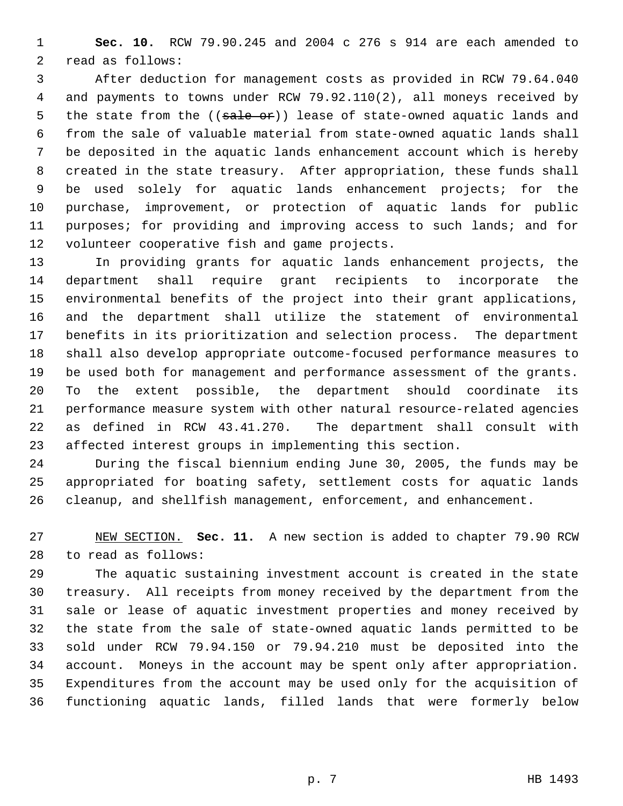**Sec. 10.** RCW 79.90.245 and 2004 c 276 s 914 are each amended to read as follows:

 After deduction for management costs as provided in RCW 79.64.040 and payments to towns under RCW 79.92.110(2), all moneys received by 5 the state from the ((sale or)) lease of state-owned aquatic lands and from the sale of valuable material from state-owned aquatic lands shall be deposited in the aquatic lands enhancement account which is hereby created in the state treasury. After appropriation, these funds shall be used solely for aquatic lands enhancement projects; for the purchase, improvement, or protection of aquatic lands for public purposes; for providing and improving access to such lands; and for volunteer cooperative fish and game projects.

 In providing grants for aquatic lands enhancement projects, the department shall require grant recipients to incorporate the environmental benefits of the project into their grant applications, and the department shall utilize the statement of environmental benefits in its prioritization and selection process. The department shall also develop appropriate outcome-focused performance measures to be used both for management and performance assessment of the grants. To the extent possible, the department should coordinate its performance measure system with other natural resource-related agencies as defined in RCW 43.41.270. The department shall consult with affected interest groups in implementing this section.

 During the fiscal biennium ending June 30, 2005, the funds may be appropriated for boating safety, settlement costs for aquatic lands cleanup, and shellfish management, enforcement, and enhancement.

 NEW SECTION. **Sec. 11.** A new section is added to chapter 79.90 RCW to read as follows:

 The aquatic sustaining investment account is created in the state treasury. All receipts from money received by the department from the sale or lease of aquatic investment properties and money received by the state from the sale of state-owned aquatic lands permitted to be sold under RCW 79.94.150 or 79.94.210 must be deposited into the account. Moneys in the account may be spent only after appropriation. Expenditures from the account may be used only for the acquisition of functioning aquatic lands, filled lands that were formerly below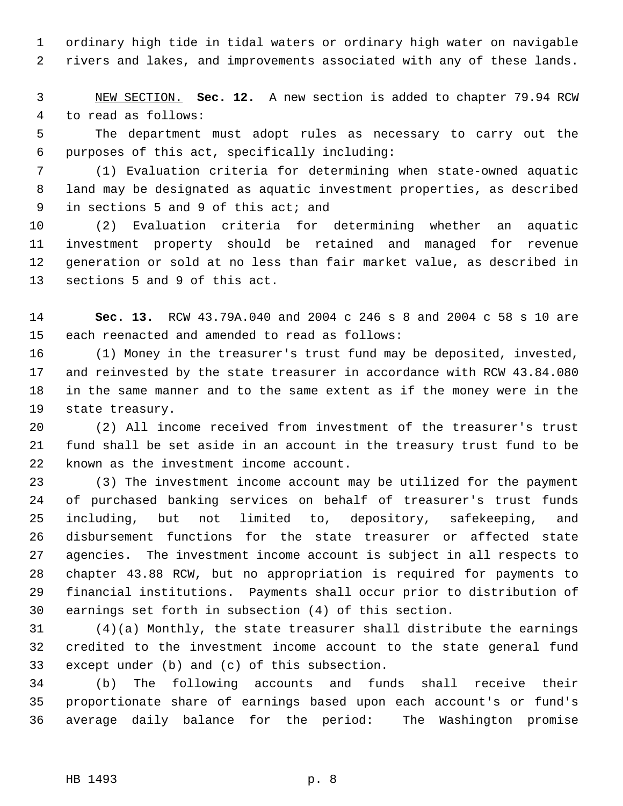ordinary high tide in tidal waters or ordinary high water on navigable rivers and lakes, and improvements associated with any of these lands.

 NEW SECTION. **Sec. 12.** A new section is added to chapter 79.94 RCW to read as follows:

 The department must adopt rules as necessary to carry out the purposes of this act, specifically including:

 (1) Evaluation criteria for determining when state-owned aquatic land may be designated as aquatic investment properties, as described in sections 5 and 9 of this act; and

 (2) Evaluation criteria for determining whether an aquatic investment property should be retained and managed for revenue generation or sold at no less than fair market value, as described in sections 5 and 9 of this act.

 **Sec. 13.** RCW 43.79A.040 and 2004 c 246 s 8 and 2004 c 58 s 10 are each reenacted and amended to read as follows:

 (1) Money in the treasurer's trust fund may be deposited, invested, and reinvested by the state treasurer in accordance with RCW 43.84.080 in the same manner and to the same extent as if the money were in the state treasury.

 (2) All income received from investment of the treasurer's trust fund shall be set aside in an account in the treasury trust fund to be known as the investment income account.

 (3) The investment income account may be utilized for the payment of purchased banking services on behalf of treasurer's trust funds including, but not limited to, depository, safekeeping, and disbursement functions for the state treasurer or affected state agencies. The investment income account is subject in all respects to chapter 43.88 RCW, but no appropriation is required for payments to financial institutions. Payments shall occur prior to distribution of earnings set forth in subsection (4) of this section.

 (4)(a) Monthly, the state treasurer shall distribute the earnings credited to the investment income account to the state general fund except under (b) and (c) of this subsection.

 (b) The following accounts and funds shall receive their proportionate share of earnings based upon each account's or fund's average daily balance for the period: The Washington promise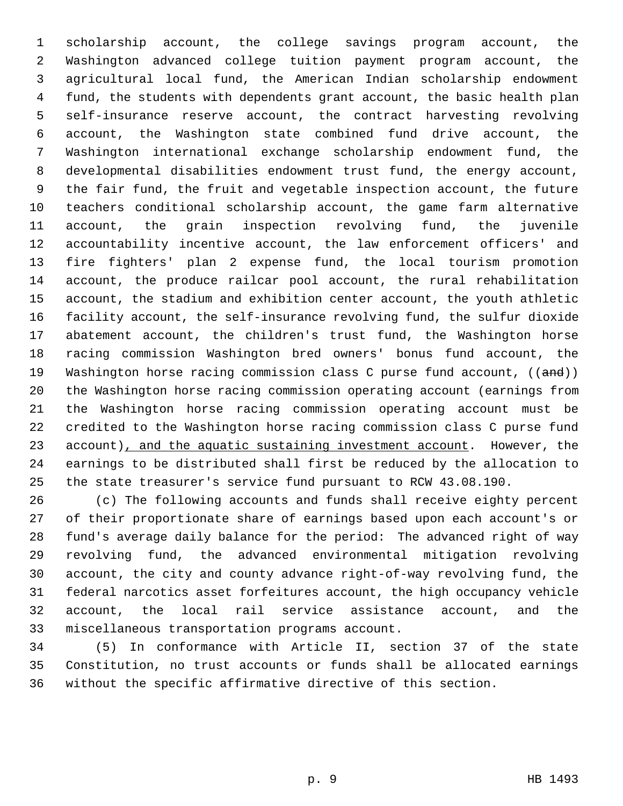scholarship account, the college savings program account, the Washington advanced college tuition payment program account, the agricultural local fund, the American Indian scholarship endowment fund, the students with dependents grant account, the basic health plan self-insurance reserve account, the contract harvesting revolving account, the Washington state combined fund drive account, the Washington international exchange scholarship endowment fund, the developmental disabilities endowment trust fund, the energy account, the fair fund, the fruit and vegetable inspection account, the future teachers conditional scholarship account, the game farm alternative account, the grain inspection revolving fund, the juvenile accountability incentive account, the law enforcement officers' and fire fighters' plan 2 expense fund, the local tourism promotion account, the produce railcar pool account, the rural rehabilitation account, the stadium and exhibition center account, the youth athletic facility account, the self-insurance revolving fund, the sulfur dioxide abatement account, the children's trust fund, the Washington horse racing commission Washington bred owners' bonus fund account, the 19 Washington horse racing commission class C purse fund account, ((and)) the Washington horse racing commission operating account (earnings from the Washington horse racing commission operating account must be credited to the Washington horse racing commission class C purse fund 23 account), and the aquatic sustaining investment account. However, the earnings to be distributed shall first be reduced by the allocation to the state treasurer's service fund pursuant to RCW 43.08.190.

 (c) The following accounts and funds shall receive eighty percent of their proportionate share of earnings based upon each account's or fund's average daily balance for the period: The advanced right of way revolving fund, the advanced environmental mitigation revolving account, the city and county advance right-of-way revolving fund, the federal narcotics asset forfeitures account, the high occupancy vehicle account, the local rail service assistance account, and the miscellaneous transportation programs account.

 (5) In conformance with Article II, section 37 of the state Constitution, no trust accounts or funds shall be allocated earnings without the specific affirmative directive of this section.